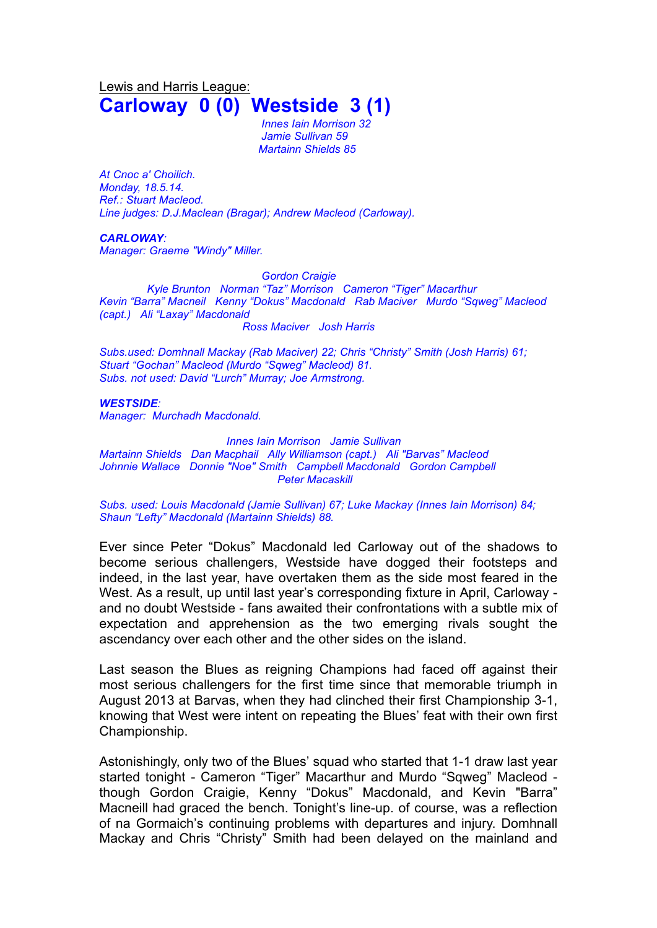Lewis and Harris League: **Carloway 0 (0) Westside 3 (1)**

> *Innes Iain Morrison 32 Jamie Sullivan 59 Martainn Shields 85*

*At Cnoc a' Choilich. Monday, 18.5.14. Ref.: Stuart Macleod. Line judges: D.J.Maclean (Bragar); Andrew Macleod (Carloway).*

## *CARLOWAY:*

*Manager: Graeme "Windy" Miller.*

*Gordon Craigie*

*Kyle Brunton Norman "Taz" Morrison Cameron "Tiger" Macarthur Kevin "Barra" Macneil Kenny "Dokus" Macdonald Rab Maciver Murdo "Sqweg" Macleod (capt.) Ali "Laxay" Macdonald Ross Maciver Josh Harris*

*Subs.used: Domhnall Mackay (Rab Maciver) 22; Chris "Christy" Smith (Josh Harris) 61; Stuart "Gochan" Macleod (Murdo "Sqweg" Macleod) 81. Subs. not used: David "Lurch" Murray; Joe Armstrong.*

## *WESTSIDE:*

*Manager: Murchadh Macdonald.*

*Innes Iain Morrison Jamie Sullivan*

*Martainn Shields Dan Macphail Ally Williamson (capt.) Ali "Barvas" Macleod Johnnie Wallace Donnie "Noe" Smith Campbell Macdonald Gordon Campbell Peter Macaskill*

*Subs. used: Louis Macdonald (Jamie Sullivan) 67; Luke Mackay (Innes Iain Morrison) 84; Shaun "Lefty" Macdonald (Martainn Shields) 88.*

Ever since Peter "Dokus" Macdonald led Carloway out of the shadows to become serious challengers, Westside have dogged their footsteps and indeed, in the last year, have overtaken them as the side most feared in the West. As a result, up until last year's corresponding fixture in April, Carloway and no doubt Westside - fans awaited their confrontations with a subtle mix of expectation and apprehension as the two emerging rivals sought the ascendancy over each other and the other sides on the island.

Last season the Blues as reigning Champions had faced off against their most serious challengers for the first time since that memorable triumph in August 2013 at Barvas, when they had clinched their first Championship 3-1, knowing that West were intent on repeating the Blues' feat with their own first Championship.

Astonishingly, only two of the Blues' squad who started that 1-1 draw last year started tonight - Cameron "Tiger" Macarthur and Murdo "Sqweg" Macleod though Gordon Craigie, Kenny "Dokus" Macdonald, and Kevin "Barra" Macneill had graced the bench. Tonight's line-up. of course, was a reflection of na Gormaich's continuing problems with departures and injury. Domhnall Mackay and Chris "Christy" Smith had been delayed on the mainland and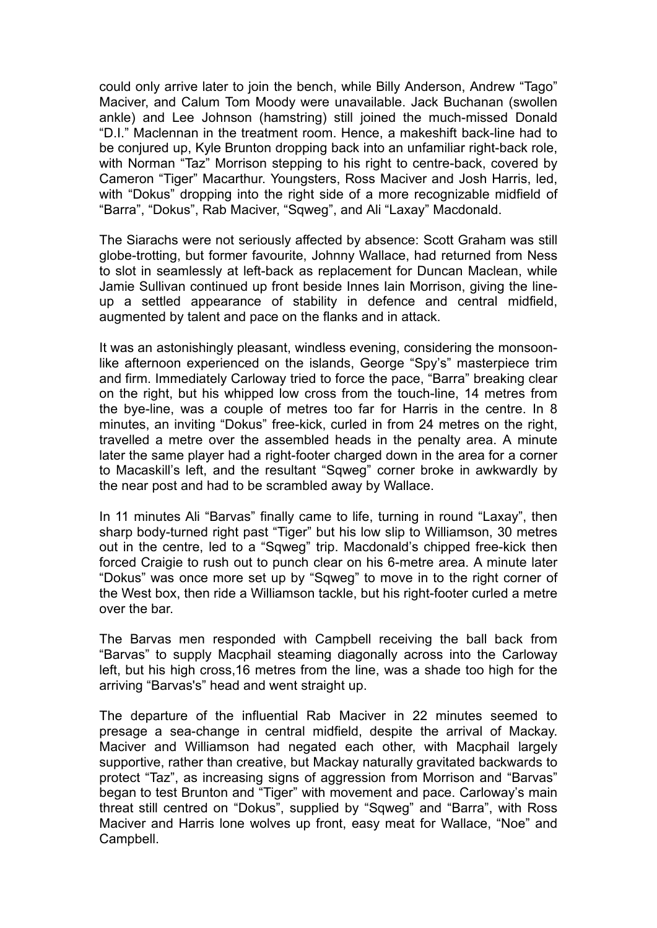could only arrive later to join the bench, while Billy Anderson, Andrew "Tago" Maciver, and Calum Tom Moody were unavailable. Jack Buchanan (swollen ankle) and Lee Johnson (hamstring) still joined the much-missed Donald "D.I." Maclennan in the treatment room. Hence, a makeshift back-line had to be conjured up, Kyle Brunton dropping back into an unfamiliar right-back role, with Norman "Taz" Morrison stepping to his right to centre-back, covered by Cameron "Tiger" Macarthur. Youngsters, Ross Maciver and Josh Harris, led, with "Dokus" dropping into the right side of a more recognizable midfield of "Barra", "Dokus", Rab Maciver, "Sqweg", and Ali "Laxay" Macdonald.

The Siarachs were not seriously affected by absence: Scott Graham was still globe-trotting, but former favourite, Johnny Wallace, had returned from Ness to slot in seamlessly at left-back as replacement for Duncan Maclean, while Jamie Sullivan continued up front beside Innes Iain Morrison, giving the lineup a settled appearance of stability in defence and central midfield, augmented by talent and pace on the flanks and in attack.

It was an astonishingly pleasant, windless evening, considering the monsoonlike afternoon experienced on the islands, George "Spy's" masterpiece trim and firm. Immediately Carloway tried to force the pace, "Barra" breaking clear on the right, but his whipped low cross from the touch-line, 14 metres from the bye-line, was a couple of metres too far for Harris in the centre. In 8 minutes, an inviting "Dokus" free-kick, curled in from 24 metres on the right, travelled a metre over the assembled heads in the penalty area. A minute later the same player had a right-footer charged down in the area for a corner to Macaskill's left, and the resultant "Sqweg" corner broke in awkwardly by the near post and had to be scrambled away by Wallace.

In 11 minutes Ali "Barvas" finally came to life, turning in round "Laxay", then sharp body-turned right past "Tiger" but his low slip to Williamson, 30 metres out in the centre, led to a "Sqweg" trip. Macdonald's chipped free-kick then forced Craigie to rush out to punch clear on his 6-metre area. A minute later "Dokus" was once more set up by "Sqweg" to move in to the right corner of the West box, then ride a Williamson tackle, but his right-footer curled a metre over the bar.

The Barvas men responded with Campbell receiving the ball back from "Barvas" to supply Macphail steaming diagonally across into the Carloway left, but his high cross,16 metres from the line, was a shade too high for the arriving "Barvas's" head and went straight up.

The departure of the influential Rab Maciver in 22 minutes seemed to presage a sea-change in central midfield, despite the arrival of Mackay. Maciver and Williamson had negated each other, with Macphail largely supportive, rather than creative, but Mackay naturally gravitated backwards to protect "Taz", as increasing signs of aggression from Morrison and "Barvas" began to test Brunton and "Tiger" with movement and pace. Carloway's main threat still centred on "Dokus", supplied by "Sqweg" and "Barra", with Ross Maciver and Harris lone wolves up front, easy meat for Wallace, "Noe" and Campbell.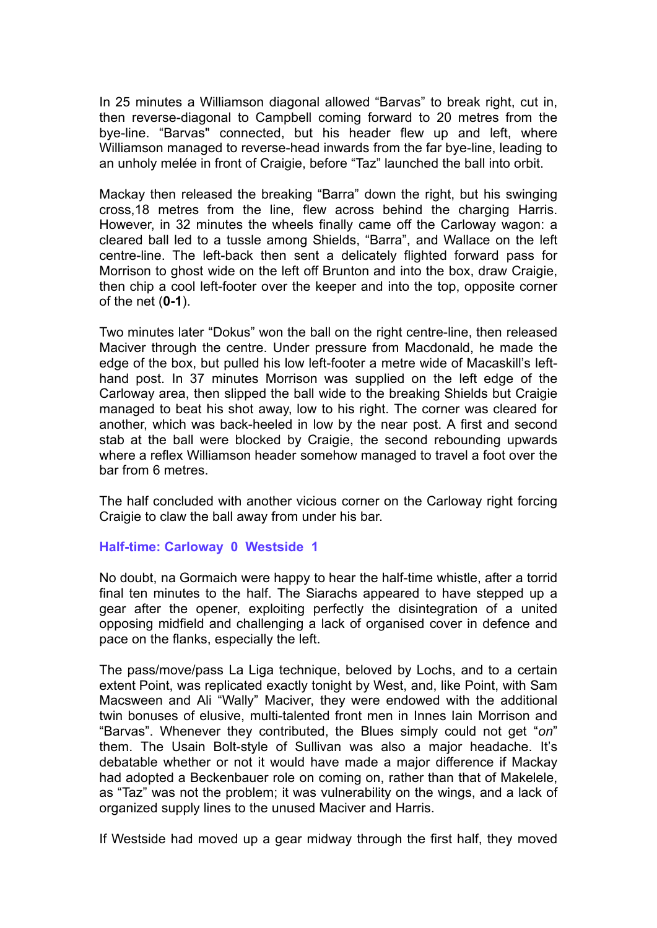In 25 minutes a Williamson diagonal allowed "Barvas" to break right, cut in, then reverse-diagonal to Campbell coming forward to 20 metres from the bye-line. "Barvas" connected, but his header flew up and left, where Williamson managed to reverse-head inwards from the far bye-line, leading to an unholy melée in front of Craigie, before "Taz" launched the ball into orbit.

Mackay then released the breaking "Barra" down the right, but his swinging cross,18 metres from the line, flew across behind the charging Harris. However, in 32 minutes the wheels finally came off the Carloway wagon: a cleared ball led to a tussle among Shields, "Barra", and Wallace on the left centre-line. The left-back then sent a delicately flighted forward pass for Morrison to ghost wide on the left off Brunton and into the box, draw Craigie, then chip a cool left-footer over the keeper and into the top, opposite corner of the net (**0-1**).

Two minutes later "Dokus" won the ball on the right centre-line, then released Maciver through the centre. Under pressure from Macdonald, he made the edge of the box, but pulled his low left-footer a metre wide of Macaskill's lefthand post. In 37 minutes Morrison was supplied on the left edge of the Carloway area, then slipped the ball wide to the breaking Shields but Craigie managed to beat his shot away, low to his right. The corner was cleared for another, which was back-heeled in low by the near post. A first and second stab at the ball were blocked by Craigie, the second rebounding upwards where a reflex Williamson header somehow managed to travel a foot over the bar from 6 metres.

The half concluded with another vicious corner on the Carloway right forcing Craigie to claw the ball away from under his bar.

## **Half-time: Carloway 0 Westside 1**

No doubt, na Gormaich were happy to hear the half-time whistle, after a torrid final ten minutes to the half. The Siarachs appeared to have stepped up a gear after the opener, exploiting perfectly the disintegration of a united opposing midfield and challenging a lack of organised cover in defence and pace on the flanks, especially the left.

The pass/move/pass La Liga technique, beloved by Lochs, and to a certain extent Point, was replicated exactly tonight by West, and, like Point, with Sam Macsween and Ali "Wally" Maciver, they were endowed with the additional twin bonuses of elusive, multi-talented front men in Innes Iain Morrison and "Barvas". Whenever they contributed, the Blues simply could not get "*on*" them. The Usain Bolt-style of Sullivan was also a major headache. It's debatable whether or not it would have made a major difference if Mackay had adopted a Beckenbauer role on coming on, rather than that of Makelele, as "Taz" was not the problem; it was vulnerability on the wings, and a lack of organized supply lines to the unused Maciver and Harris.

If Westside had moved up a gear midway through the first half, they moved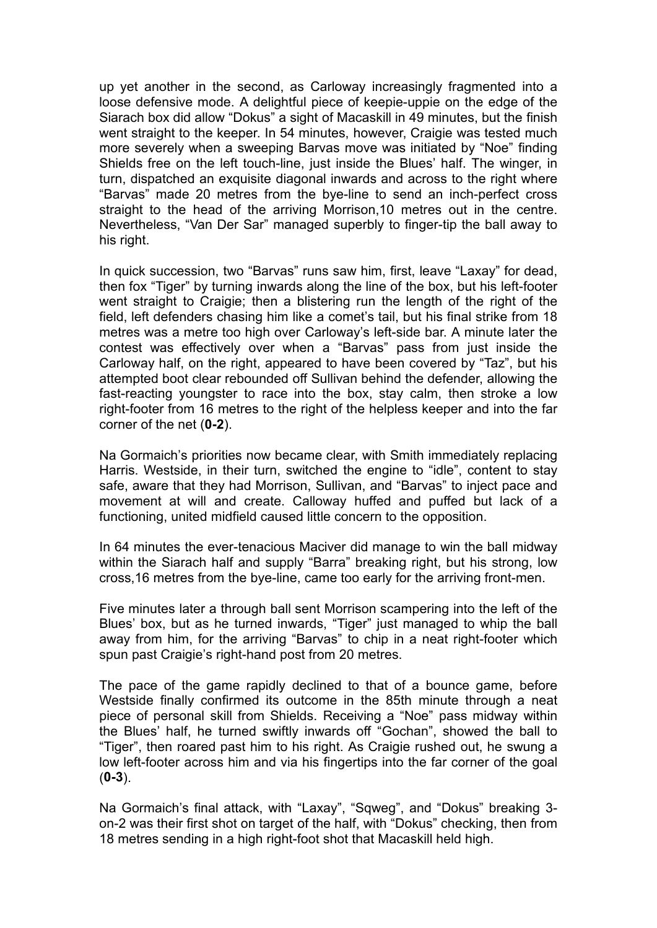up yet another in the second, as Carloway increasingly fragmented into a loose defensive mode. A delightful piece of keepie-uppie on the edge of the Siarach box did allow "Dokus" a sight of Macaskill in 49 minutes, but the finish went straight to the keeper. In 54 minutes, however, Craigie was tested much more severely when a sweeping Barvas move was initiated by "Noe" finding Shields free on the left touch-line, just inside the Blues' half. The winger, in turn, dispatched an exquisite diagonal inwards and across to the right where "Barvas" made 20 metres from the bye-line to send an inch-perfect cross straight to the head of the arriving Morrison,10 metres out in the centre. Nevertheless, "Van Der Sar" managed superbly to finger-tip the ball away to his right.

In quick succession, two "Barvas" runs saw him, first, leave "Laxay" for dead, then fox "Tiger" by turning inwards along the line of the box, but his left-footer went straight to Craigie; then a blistering run the length of the right of the field, left defenders chasing him like a comet's tail, but his final strike from 18 metres was a metre too high over Carloway's left-side bar. A minute later the contest was effectively over when a "Barvas" pass from just inside the Carloway half, on the right, appeared to have been covered by "Taz", but his attempted boot clear rebounded off Sullivan behind the defender, allowing the fast-reacting youngster to race into the box, stay calm, then stroke a low right-footer from 16 metres to the right of the helpless keeper and into the far corner of the net (**0-2**).

Na Gormaich's priorities now became clear, with Smith immediately replacing Harris. Westside, in their turn, switched the engine to "idle", content to stay safe, aware that they had Morrison, Sullivan, and "Barvas" to inject pace and movement at will and create. Calloway huffed and puffed but lack of a functioning, united midfield caused little concern to the opposition.

In 64 minutes the ever-tenacious Maciver did manage to win the ball midway within the Siarach half and supply "Barra" breaking right, but his strong, low cross,16 metres from the bye-line, came too early for the arriving front-men.

Five minutes later a through ball sent Morrison scampering into the left of the Blues' box, but as he turned inwards, "Tiger" just managed to whip the ball away from him, for the arriving "Barvas" to chip in a neat right-footer which spun past Craigie's right-hand post from 20 metres.

The pace of the game rapidly declined to that of a bounce game, before Westside finally confirmed its outcome in the 85th minute through a neat piece of personal skill from Shields. Receiving a "Noe" pass midway within the Blues' half, he turned swiftly inwards off "Gochan", showed the ball to "Tiger", then roared past him to his right. As Craigie rushed out, he swung a low left-footer across him and via his fingertips into the far corner of the goal (**0-3**).

Na Gormaich's final attack, with "Laxay", "Sqweg", and "Dokus" breaking 3 on-2 was their first shot on target of the half, with "Dokus" checking, then from 18 metres sending in a high right-foot shot that Macaskill held high.